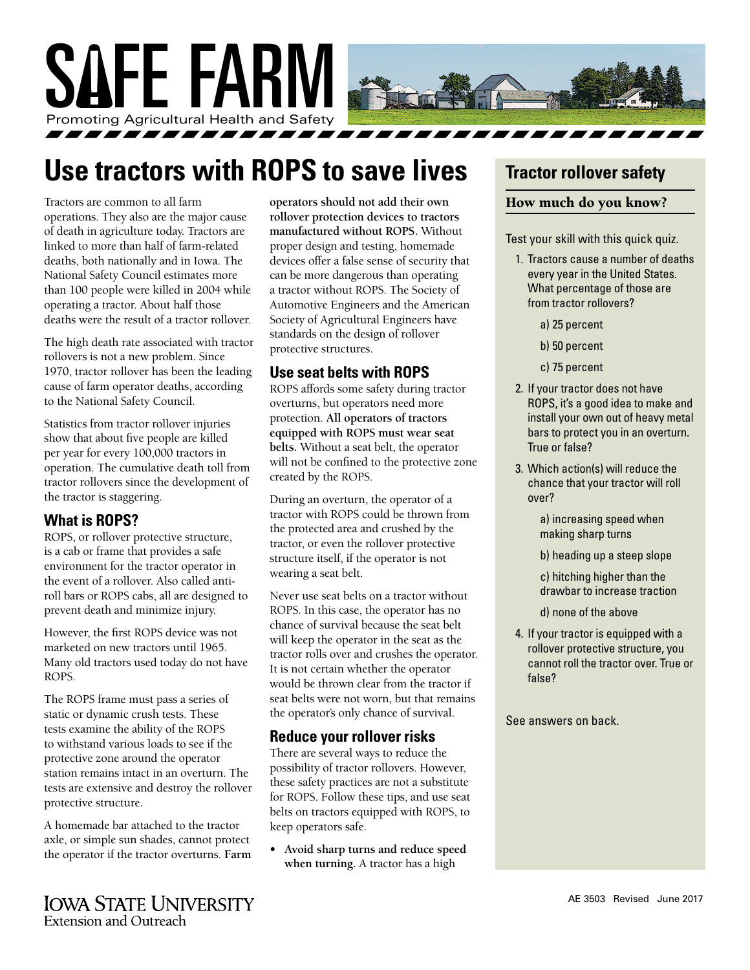

## **Use tractors with ROPS to save lives**

Tractors are common to all farm operations. They also are the major cause of death in agriculture today. Tractors are linked to more than half of farm-related deaths, both nationally and in Iowa. The National Safety Council estimates more than 100 people were killed in 2004 while operating a tractor. About half those deaths were the result of a tractor rollover.

The high death rate associated with tractor rollovers is not a new problem. Since 1970, tractor rollover has been the leading cause of farm operator deaths, according to the National Safety Council.

Statistics from tractor rollover injuries show that about five people are killed per year for every 100,000 tractors in operation. The cumulative death toll from tractor rollovers since the development of the tractor is staggering.

## **What is ROPS?**

ROPS, or rollover protective structure, is a cab or frame that provides a safe environment for the tractor operator in the event of a rollover. Also called antiroll bars or ROPS cabs, all are designed to prevent death and minimize injury.

However, the first ROPS device was not marketed on new tractors until 1965. Many old tractors used today do not have ROPS.

The ROPS frame must pass a series of static or dynamic crush tests. These tests examine the ability of the ROPS to withstand various loads to see if the protective zone around the operator station remains intact in an overturn. The tests are extensive and destroy the rollover protective structure.

A homemade bar attached to the tractor axle, or simple sun shades, cannot protect the operator if the tractor overturns. **Farm** 

**IOWA STATE UNIVERSITY Extension and Outreach** 

**operators should not add their own rollover protection devices to tractors manufactured without ROPS.** Without proper design and testing, homemade devices offer a false sense of security that can be more dangerous than operating a tractor without ROPS. The Society of Automotive Engineers and the American Society of Agricultural Engineers have standards on the design of rollover protective structures.

## **Use seat belts with ROPS**

ROPS affords some safety during tractor overturns, but operators need more protection. **All operators of tractors equipped with ROPS must wear seat belts.** Without a seat belt, the operator will not be confined to the protective zone created by the ROPS.

During an overturn, the operator of a tractor with ROPS could be thrown from the protected area and crushed by the tractor, or even the rollover protective structure itself, if the operator is not wearing a seat belt.

Never use seat belts on a tractor without ROPS. In this case, the operator has no chance of survival because the seat belt will keep the operator in the seat as the tractor rolls over and crushes the operator. It is not certain whether the operator would be thrown clear from the tractor if seat belts were not worn, but that remains the operator's only chance of survival.

## **Reduce your rollover risks**

There are several ways to reduce the possibility of tractor rollovers. However, these safety practices are not a substitute for ROPS. Follow these tips, and use seat belts on tractors equipped with ROPS, to keep operators safe.

**• Avoid sharp turns and reduce speed when turning.** A tractor has a high

## **Tractor rollover safety**

#### How much do you know?

Test your skill with this quick quiz.

- 1. Tractors cause a number of deaths every year in the United States. What percentage of those are from tractor rollovers?
	- a) 25 percent
	- b) 50 percent
	- c) 75 percent
- 2. If your tractor does not have ROPS, it's a good idea to make and install your own out of heavy metal bars to protect you in an overturn. True or false?
- 3. Which action(s) will reduce the chance that your tractor will roll over?
	- a) increasing speed when making sharp turns
	- b) heading up a steep slope
	- c) hitching higher than the drawbar to increase traction
	- d) none of the above
- 4. If your tractor is equipped with a rollover protective structure, you cannot roll the tractor over. True or false?

See answers on back.